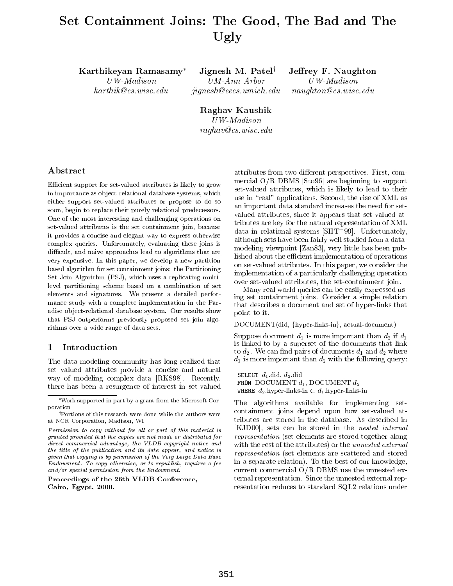# Set Containment Joins: The Good, The Bad and The Ugly

Karthikeyan Ramasamy\* Jignesh M. Patel<sup>†</sup> Jeffrey F. Naughton

UW-Madison UM-Ann Arbor UW-Madison karthik@cs.wisc.edu jignesh@eecs.umich.edu naughton@cs.wisc.edu

Raghav Kaushik UW-Madison raghav@cs.wisc.edu

# Abstract

Efficient support for set-valued attributes is likely to grow in importance as ob ject-relational database systems, which either support set-valued attributes or propose to do so soon, begin to replace their purely relational predecessors. One of the most interesting and challenging operations on set-valued attributes is the set containment join, because it provides a concise and elegant way to express otherwise complex queries. Unfortunately, evaluating these joins is difficult, and naive approaches lead to algorithms that are very expensive. In this paper, we develop a new partition based algorithm for set containment joins: the Partitioning Set Join Algorithm (PSJ), which uses a replicating multilevel partitioning scheme based on a combination of set elements and signatures. We present a detailed performance study with a complete implementation in the Par adise ob ject-relational database system. Our results show that PSJ outperforms previously proposed set join algorithms over a wide range of data sets.

#### $\mathbf{1}$ Introduction

The data modeling community has long realized that set valued attributes provide a concise and natural way of modeling complex data [RKS98]. Recently, there has been a resurgence of interest in set-valued

Proceedings of the 26th VLDB Conference,Cairo, Egypt, 2000.

attributes from two different perspectives. First, commercial O/R DBMS [Sto96] are beginning to support set-valued attributes, which is likely to lead to their use in "real" applications. Second, the rise of XML as an important data standard increases the need for set valued attributes, since it appears that set-valued attributes are key for the natural representation of XML data in relational systems [SHT+ 99]. Unfortunately, although sets have been fairly well studied from a datamodeling viewpoint [Zan83], very little has been published about the efficient implementation of operations on set-valued attributes. In this paper, we consider the implementation of a particularly challenging operation over set-valued attributes, the set-containment join.

Many real world queries can be easily expressed using set containment joins. Consider a simple relation that describes a document and set of hyper-links that point to it.

DOCUMENT(did, {hyper-links-in}, actual-document)

Suppose document  $d_1$  is more important than  $d_2$  if  $d_1$ is linked-to by a superset of the documents that link to  $d_2$ . We can find pairs of documents  $d_1$  and  $d_2$  where  $d_1$  is more important than  $d_2$  with the following query:

SELECT  $d_1$  did,  $d_2$  did FROM DOCUMENT  $d_1$ , DOCUMENT  $d_2$ WHERE  $d_2$  hyper-links-in  $\subset d_1$  hyper-links-in

 tributes are stored in the database. As described in representation (set elements are stored together along in a separate relation). To the best of our knowledge, The algorithms available for implementing setcontainment joins depend upon how set-valued at-[KJD00], sets can be stored in the nested internal with the rest of the attributes) or the *unnested external* representation (set elements are scattered and stored current commercial O/R DBMS use the unnested external representation. Since the unnested external representation reduces to standard SQL2 relations under

Work supported in part by a grant from the Microsoft Corporation

<sup>&</sup>lt;sup>†</sup>Portions of this research were done while the authors were at NCR Corporation, Madison, WI

 $F$ ermission to copy without fee all or part of this material is  $\Box$ granted provided that the copies are not made or distributed for $\mu$  an ect commercial advantage, the VLDB copyright notice and  $\mu$ the title of the publication and its date appear, and notice is given that copying is by permission of the Very Large Data BaseEndowment. To copy otherwise, or to republish, requires a fee and/or special permission from the Endowment.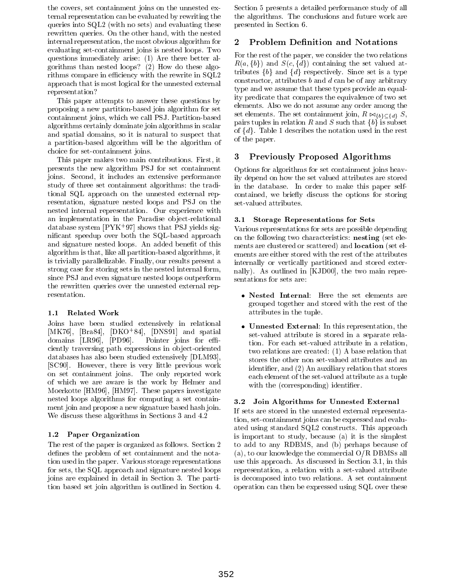the covers, set containment joins on the unnested external representation can be evaluated by rewriting the queries into SQL2 (with no sets) and evaluating these rewritten queries. On the other hand, with the nested internal representation, the most obvious algorithm for 2 evaluating set-containment joins is nested loops. Two questions immediately arise: (1) Are there better algorithms than nested loops? (2) How do these algorithms compare in efficiency with the rewrite in  $SQL2$ approach that is most logical for the unnested external representation?

This paper attempts to answer these questions by proposing a new partition-based join algorithm for set containment joins, which we call PSJ. Partition-based algorithms certainly dominate join algorithms in scalar and spatial domains, so it is natural to suspect that a partition-based algorithm will be the algorithm of choice for set-containment joins.

This paper makes two main contributions. First, it presents the new algorithm PSJ for set containment joins. Second, it includes an extensive performance study of three set containment algorithms: the traditional SQL approach on the unnested external representation, signature nested loops and PSJ on the nested internal representation. Our experience with an implementation in the Paradise object-relational 3.1 database system  $|\mathbf{r}|$  in  $\mathcal{Y}_l$  shows that  $\mathbf{r}$  signicant speedup over both the SQL-based approach and signature nested loops. An added benefit of this algorithm is that, like all partition-based algorithms, it is trivially parallelizable. Finally, our results present a strong case for storing sets in the nested internal form, since PSJ and even signature nested loops outperform the rewritten queries over the unnested external representation.

# 1.1 Related Work

Joins have been studied extensively in relational  $|MIN(0),$  [Bra84],  $|DNU(84),$   $|DNS91|$  and spatial domains  $[LR96]$ ,  $[PD96]$ . Pointer joins for efficiently traversing path expressions in object-oriented databases has also been studied extensively [DLM93], [SC90]. However, there is very little previous work on set containment joins. The only reported work of which we are aware is the work by Helmer and Moerkotte [HM96], [HM97]. These papers investigate nested loops algorithms for computing a set containment join and propose a new signature based hash join. We discuss these algorithms in Sections 3 and 4.2

# 1.2 Paper Organization

The rest of the paper is organized as follows. Section 2 defines the problem of set containment and the notation used in the paper. Various storage representations for sets, the SQL approach and signature nested loops joins are explained in detail in Section 3. The partition based set join algorithm is outlined in Section 4. Section 5 presents a detailed performance study of all the algorithms. The conclusions and future work are presented in Section 6.

# **Problem Definition and Notations**

For the rest of the paper, we consider the two relations  $R(a, \{b\})$  and  $S(c, \{d\})$  containing the set valued attributes  $\{b\}$  and  $\{d\}$  respectively. Since set is a type constructor, attributes  $b$  and  $d$  can be of any arbitrary type and we assume that these types provide an equality predicate that compares the equivalence of two set elements. Also we do not assume any order among the set elements. The set containment join,  $R \bowtie_{\{b\} \subset \{d\}} S$ , pairs tuples in relation R and S such that  $\{b\}$  is subset of  $\{d\}$ . Table 1 describes the notation used in the rest of the paper.

# 3 Previously Proposed Algorithms

Options for algorithms for set containment joins heavily depend on how the set valued attributes are stored in the database. In order to make this paper selfcontained, we briefly discuss the options for storing set-valued attributes.

# **Storage Representations for Sets**

Various representations for sets are possible depending on the following two characteristics: nesting (set elements are clustered or scattered) and location (set elements are either stored with the rest of the attributes internally or vertically partitioned and stored externally). As outlined in [KJD00], the two main representations for sets are:

- $\bullet$  internal: Here the set elements are grouped together and stored with the rest of the attributes in the tuple.
- $\bullet$  Unnested External: In this representation, the set-valued attribute is stored in a separate relation. For each set-valued attribute in a relation, two relations are created: (1) A base relation that stores the other non set-valued attributes and an identier, and (2) An auxiliary relation that stores each element of the set-valued attribute as a tuple with the (corresponding) identifier.

# 3.2 Join Algorithms for Unnested External

If sets are stored in the unnested external representation, set-containment joins can be expressed and evaluated using standard SQL2 constructs. This approach is important to study, because (a) it is the simplest to add to any RDBMS, and (b) perhaps because of (a), to our knowledge the commercial O/R DBMSs all use this approach. As discussed in Section 3.1, in this representation, a relation with a set-valued attribute is decomposed into two relations. A set containment operation can then be expressed using SQL over these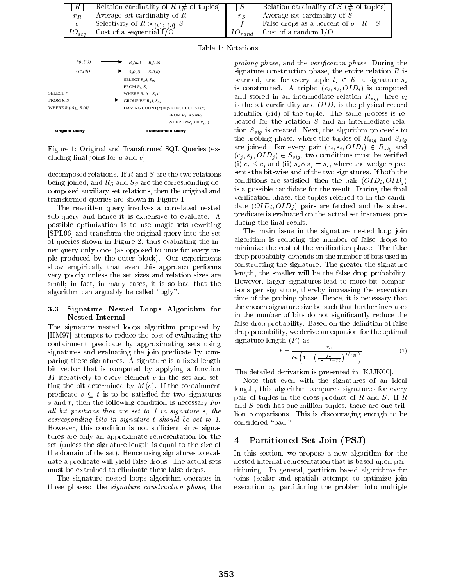| R          | Relation cardinality of $R$ (# of tuples)          |             | Relation cardinality of $S$ (# of tuples)   |  |
|------------|----------------------------------------------------|-------------|---------------------------------------------|--|
| $r_R$      | Average set cardinality of $R$                     | $r_{\rm C}$ | Average set cardinality of $S$              |  |
|            | Selectivity of $R \bowtie_{\{b\} \subset \{d\}} S$ |             | False drops as a percent of $\sigma  R  S $ |  |
| $IO_{seq}$ | Cost of a sequential $I/O$                         | $10_{rand}$ | Cost of a random $I/O$                      |  |





Figure 1: Original and Transformed SQL Queries (excluding final joins for  $a$  and  $c$ )

decomposed relations. If  $R$  and  $S$  are the two relations being joined, and RS and SS are the corresponding decomposed auxiliary set relations, then the original and transformed queries are shown in Figure 1.

The rewritten query involves a correlated nested sub-query and hence it is expensive to evaluate. A possible optimization is to use magic-sets rewriting [SPL96] and transform the original query into the set of queries shown in Figure 2, thus evaluating the inner query only once (as opposed to once for every tuple produced by the outer block). Our experiments show empirically that even this approach performs very poorly unless the set sizes and relation sizes are small; in fact, in many cases, it is so bad that the algorithm can arguably be called "ugly".

#### 3.3 3.3 Signature Nested Loops Algorithm for Nested Internal

The signature nested loops algorithm proposed by [HM97] attempts to reduce the cost of evaluating the containment predicate by approximating sets using signatures and evaluating the join predicate by comparing these signatures. A signature is a fixed length bit vector that is computed by applying a function  $M$  iteratively to every element  $e$  in the set and setting the bit determined by  $M(e)$ . If the containment predicate  $s \subset t$  is to be satisfied for two signatures s and  $t$ , then the following condition is necessary: For an on positions that are set to 1 in signature s, the  $\frac{1}{2}$ corresponding bits in signature t should be set to 1. However, this condition is not sufficient since signatures are only an approximate representation for the 4 set (unless the signature length is equal to the size of the domain of the set). Hence using signatures to evaluate a predicate will yield false drops. The actual sets must be examined to eliminate these false drops.

The signature nested loops algorithm operates in three phases: the signature construction phase, the

proving phase, and the verification phase. During the signature construction phase, the entire relation  $R$  is scanned, and for every tuple  $t_i \in R$ , a signature  $s_i$ is constructed. A triplet (circumstriplet (circumstriplet (circumstriplet) is computed. As in  $\mathcal{O}(100)$ and stored in the state relation relation  $\mathcal{L}$  , here  $\mathcal{L}$  ; here city  $\mathcal{L}$  ; here city  $\mathcal{L}$ is the set cardinality and OID  $\mu$  is the physical records. identier (rid) of the tuple. The same process is repeated for the relation S and an intermediate relation Ssig is created. Next, the algorithm proceeds to the phase, where the tuples of the tuples of Rsignal and Ssignal and Ssignal and Ssignal and Ssignal and Ssignal and are joined. For every pair  $(c_i, s_i, OID_i) \in R_{sig}$  and  $(c_i, s_i, OID_i) \in S_{sia}$ , two conditions must be verified (i)  $c_i \leq c_j$  and (ii)  $s_i \wedge s_j = s_i$ , where the wedge represents the bit-wise and of the two signatures. If both the conditions are satisfactory there the pair (OID) ; OID ) ; is a possible candidate for the result. During the final verification phase, the tuples referred to in the candidate (OI)  $\mathbf{0}$  is a subset of  $\mathbf{0}$  is a subset of  $\mathbf{0}$  is a subset of  $\mathbf{0}$  is a subset of  $\mathbf{0}$  is a subset of  $\mathbf{0}$  is a subset of  $\mathbf{0}$  is a subset of  $\mathbf{0}$  is a subset of  $\mathbf{0}$  is a subse predicate is evaluated on the actual set instances, producing the final result.

The main issue in the signature nested loop join algorithm is reducing the number of false drops to minimize the cost of the verification phase. The false drop probability depends on the number of bits used in constructing the signature. The greater the signature length, the smaller will be the false drop probability. However, larger signatures lead to more bit comparisons per signature, thereby increasing the execution time of the probing phase. Hence, it is necessary that the chosen signature size be such that further increases in the number of bits do not signicantly reduce the false drop probability. Based on the definition of false drop probability, we derive an equation for the optimal signature length  $(F)$  as

$$
F = \frac{-r_S}{\ln\left(1 - \left(\frac{f\sigma}{1 - \sigma(1 + f)}\right)^{1/r_R}\right)}\tag{1}
$$

The detailed derivation is presented in [KJJK00].

Note that even with the signatures of an ideal length, this algorithm compares signatures for every pair of tuples in the cross product of R and S. If R and S each has one million tuples, there are one trillion comparisons. This is discouraging enough to be considered "bad."

# 4 Partitioned Set Join (PSJ)

In this section, we propose a new algorithm for the nested internal representation that is based upon partitioning. In general, partition based algorithms for joins (scalar and spatial) attempt to optimize join execution by partitioning the problem into multiple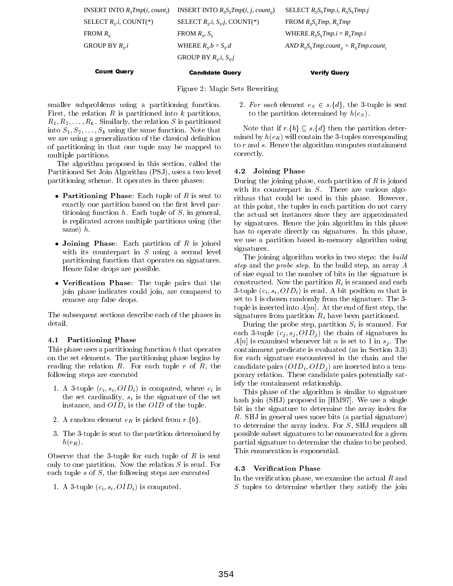| <b>Count Query</b>                                       | <b>Candidate Query</b>                               | <b>Verify Query</b>                                 |
|----------------------------------------------------------|------------------------------------------------------|-----------------------------------------------------|
|                                                          | GROUP BY $R_s$ <i>i</i> , $S_s$ <i>j</i>             |                                                     |
| GROUP BY $R_{S}.i$                                       | WHERE $R_{\rm g} b = S_{\rm g} d$                    | AND $R_{S}S_{S}Tmp.count_{ii} = R_{S}Tmp.count_{i}$ |
| FROM $R_{\rm s}$                                         | FROM $R_s$ , $S_s$                                   | WHERE $R_{S}S_{S}Tmp.i = R_{S}Tmp.i$                |
| SELECT $R_{\rm c}$ <i>i</i> , COUNT(*)                   | SELECT $R_s$ <i>i</i> , $S_s$ <i>j</i> , COUNT(*)    | FROM $R_{S}S_{S}Tmp$ , $R_{S}Tmp$                   |
| <b>INSERT INTO <math>R_{\rm s}Tmp(i, count_i)</math></b> | <b>INSERT INTO</b> $R_{S}S_{S}Tmp(i, j, count_{ij})$ | SELECT $R_sS_sTmp.i, R_sS_sTmp.j$                   |

Figure 2: Magic Sets Rewriting

smaller subproblems using a partitioning function. First, the relation  $R$  is partitioned into  $k$  partitions,  $R_1, R_2, \ldots, R_k$ . Similarly, the relation S is partitioned into  $S_1, S_2, \ldots, S_k$  using the same function. Note that we are using a generalization of the classical definition of partitioning in that one tuple may be mapped to multiple partitions.

The algorithm proposed in this section, called the Partitioned Set Join Algorithm (PSJ), uses a two level partitioning scheme. It operates in three phases:

- Partitioning Phase: Each tuple of R is sent to  $\mathbf{r}_{\text{ithr}}$ exactly one partition based on the first level partitioning function  $h$ . Each tuple of  $S$ , in general, is replicated across multiple partitions using (the same) h.
- $\bullet$  Joining Phase: Each partition of  $R$  is joined at . with its counterpart in  $S$  using a second level partitioning function that operates on signatures. Hence false drops are possible.
- $\bullet$  verification Phase: The tuple pairs that the  $\phantom{00}$  con join phase indicates could join, are compared to remove any false drops.

The subsequent sections describe each of the phases in detail.

# 4.1 Partitioning Phase

This phase uses a partitioning function h that operates on the set elements. The partitioning phase begins by reading the relation  $R$ . For each tuple  $r$  of  $R$ , the following steps are executed

- 1. A 3-tuple (ci ; si ; OIDi) is computed, where ci is the set cardinality, since  $\mathbb{R}$  is the set of the set of the set of  $\mathbb{R}$ instance, and OIDi is the OID of the tuple.
- 2. A random element  $e_R$  is picked from  $r.\{b\}$ .
- 3. The 3-tuple is sent to the partition determined by  $h(e_R)$ .

Observe that the 3-tuple for each tuple of  $R$  is sent only to one partition. Now the relation S is read. For each tuple s of S, the following steps are executed

1. A 3-tuple (ci ; si ; OIDi) is computed.

2. For each element  $e_S \in s.\{d\}$ , the 3-tuple is sent to the partition determined by health determined by health determined by health determined by health determined by h

Note that if  $r.\{b\} \subseteq s.\{d\}$  then the partition determined by  $h(e_R)$  will contain the 3-tuples corresponding to r and s. Hence the algorithm computes containment correctly.

# 4.2 Joining Phase

During the joining phase, each partition of  $R$  is joined with its counterpart in  $S$ . There are various algorithms that could be used in this phase. However, at this point, the tuples in each partition do not carry the actual set instances since they are approximated by signatures. Hence the join algorithm in this phase has to operate directly on signatures. In this phase, we use a partition based in-memory algorithm using signatures.

The joining algorithm works in two steps: the *build*  $step$  and the prove  $step$ . In the build step, an array  $A$ of size equal to the number of bits in the signature is construction and the construction rights are interested and extensive and extensive and extensive and each of  $\sim$  $\overline{z}$  function (circumstrate  $\overline{z}$  ) is reader to the internal matrix of  $\overline{z}$  ,  $\overline{z}$  ,  $\overline{z}$  ,  $\overline{z}$  ,  $\overline{z}$  ,  $\overline{z}$  ,  $\overline{z}$  ,  $\overline{z}$  ,  $\overline{z}$  ,  $\overline{z}$  ,  $\overline{z}$  ,  $\overline{z}$  ,  $\overline{z}$  , set to 1 is chosen randomly from the signature. The 3 tuple is inserted into  $A[m]$ . At the end of first step, the signatures from partition Ri have been partition between partitions of the contract of the contract of the contract of the contract of the contract of the contract of the contract of the contract of the contract of the con

 $\mathcal{D}$  the problem step, partition  $\mathcal{D}$  is step steps step. each 3-tuple (cj  $\Omega$  in  $\Omega$  ) the chain of signature in signature in  $\Omega$ African is examined whenever bit n is set to 1 in set to 1 in sig . The in signal containment predicate is evaluated (as in Section 3.3) for each signature encountered in the chain and the candidate pairs (OIDI) ; OIDI ) are inserted into a temperature porary relation. These candidate pairs potentially satisfy the containment relationship.

This phase of the algorithm is similar to signature hash join (SHJ) proposed in [HM97]. We use a single bit in the signature to determine the array index for R. SHJ in general uses more bits (a partial signature) to determine the array index. For S, SHJ requires all possible subset signatures to be enumerated for a given partial signature to determine the chains to be probed. This enumeration is exponential.

### 4.3 Verification Phase

In the verification phase, we examine the actual  $R$  and S tuples to determine whether they satisfy the join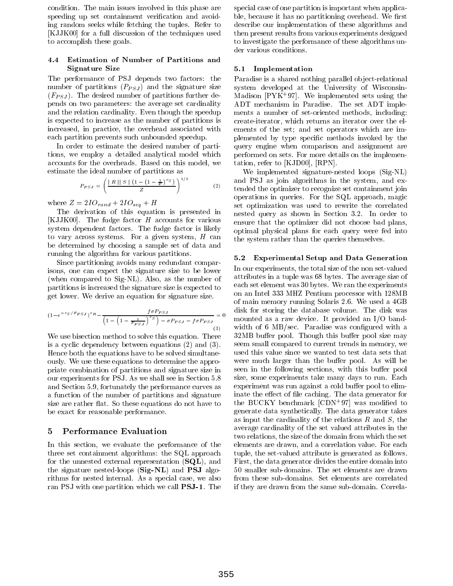condition. The main issues involved in this phase are speeding up set containment verification and avoiding random seeks while fetching the tuples. Refer to [KJJK00] for a full discussion of the techniques used to accomplish these goals.

## 4.4 Estimation of Number of Partitions and Signature Size

The performance of PSJ depends two factors: the number of partitions (PPS) ) and the signature size sizes  $\cup$  ) ) (FPS). The desired number of particles functions functions functions functions functions functions functions functions functions functions functions functions functions functions functions functions functions functions fu pends on two parameters: the average set cardinality and the relation cardinality. Even though the speedup is expected to increase as the number of partitions is increased, in practice, the overhead associated with each partition prevents such unbounded speedup.

In order to estimate the desired number of partitions, we employ a detailed analytical model which accounts for the overheads. Based on this model, we estimate the ideal number of partitions as

$$
P_{P\;SJ} = \left(\frac{\mid R \mid S \mid (1 - (1 - \frac{1}{F})^{rS})}{Z}\right)^{1/3} \tag{2}
$$

 $\sim$  2010  $\sim$  2011  $\sim$  2012  $\sim$  210  $\sim$  210  $\sim$  210  $\sim$  210  $\sim$  210  $\sim$  210  $\sim$  210  $\sim$  210  $\sim$  210  $\sim$  210  $\sim$  210  $\sim$  210  $\sim$  210  $\sim$  210  $\sim$  210  $\sim$  210  $\sim$  210  $\sim$  210  $\sim$  210  $\sim$  210  $\sim$  210  $\$ 

The derivation of this equation is presented in [KJJK00]. The fudge factor  $H$  accounts for various system dependent factors. The fudge factor is likely to vary across systems. For a given system,  $H$  can be determined by choosing a sample set of data and running the algorithm for various partitions.

Since partitioning avoids many redundant comparisons, one can expect the signature size to be lower (when compared to Sig-NL). Also, as the number of partitions is increased the signature size is expected to get lower. We derive an equation for signature size.

$$
(1 - e^{-rs/F_{PSJ}})^{r_R} - \frac{f\sigma P_{PSJ}}{\left(1 - \left(1 - \frac{1}{F_{PSJ}}\right)^{r_S}\right) - \sigma P_{PSJ} - f\sigma P_{PSJ}} = 0 \quad \begin{array}{c} \text{disk} \\ \text{mov} \end{array}
$$

We use bisection method to solve this equation. There is a cyclic dependency between equations (2) and (3). Hence both the equations have to be solved simultaneously. We use these equations to determine the appropriate combination of partitions and signature size in our experiments for PSJ. As we shall see in Section 5.8 and Section 5.9, fortunately the performance curves as a function of the number of partitions and signature size are rather flat. So these equations do not have to be exact for reasonable performance.

# 5 Performance Evaluation

In this section, we evaluate the performance of the three set containment algorithms: the SQL approach for the unnested external representation  $(SQL)$ , and the signature nested-loops (Sig-NL) and PSJ algorithms for nested internal. As a special case, we also ran PSJ with one partition which we call PSJ-1. The special case of one partition is important when applicable, because it has no partitioning overhead. We first describe our implementation of these algorithms and then present results from various experiments designed to investigate the performance of these algorithms under various conditions.

### 5.1 Implementation

Paradise is a shared nothing parallel ob ject-relational system developed at the University of Wisconsin $m$ adison  $|P|YK+37|$ . We implemented sets using the ADT mechanism in Paradise. The set ADT implements a number of set-oriented methods, including: create-iterator, which returns an iterator over the elements of the set; and set operators which are implemented by type specic methods invoked by the query engine when comparison and assignment are performed on sets. For more details on the implementation, refer to [KJD00], [RPN].

 $\gamma$   $\gamma$  tended the optimizer to recognize set containment join We implemented signature-nested loops (Sig-NL) and PSJ as join algorithms in the system, and exoperations in queries. For the SQL approach, magic set optimization was used to rewrite the correlated nested query as shown in Section 3.2. In order to ensure that the optimizer did not choose bad plans, optimal physical plans for each query were fed into the system rather than the queries themselves.

#### **Experimental Setup and Data Generation**  $5.2$

 $\mathcal{S}^{(2)}$  with order  $\mathcal{S}^{(2)}$  and  $\mathcal{S}^{(3)}$  are constantly with a second with a second with a second with a second with a second with  $\mathcal{S}^{(3)}$ In our experiments, the total size of the non set-valued attributes in a tuple was 68 bytes. The average size of each set element was 30 bytes. We ran the experiments on an Intel 333 MHZ Pentium processor with 128MB of main memory running Solaris 2.6. We used a 4GB disk for storing the database volume. The disk was mounted as a raw device. It provided an I/O band-32MB buffer pool. Though this buffer pool size may seem small compared to current trends in memory, we used this value since we wanted to test data sets that were much larger than the buffer pool. As will be seen in the following sections, with this buffer pool size, some experiments take many days to run. Each experiment was run against a cold buffer pool to eliminate the effect of file caching. The data generator for the BUCKY benchmark [CDN+ 97] was modied to generate data synthetically. The data generator takes as input the cardinality of the relations  $R$  and  $S$ , the average cardinality of the set valued attributes in the two relations, the size of the domain from which the set elements are drawn, and a correlation value. For each tuple, the set-valued attribute is generated as follows. First, the data generator divides the entire domain into 50 smaller sub-domains. The set elements are drawn from these sub-domains. Set elements are correlated if they are drawn from the same sub-domain. Correla-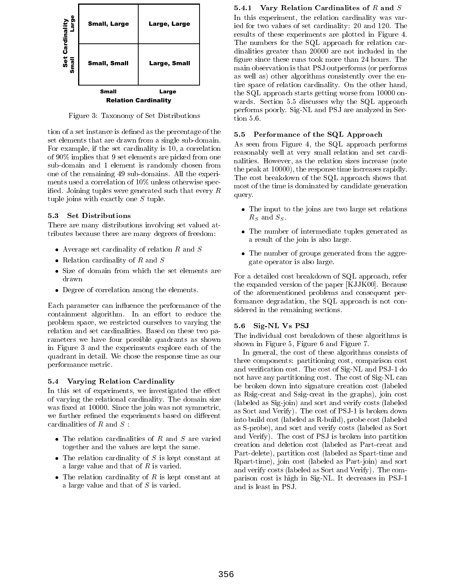

Figure 3: Taxonomy of Set Distributions

tion of a set instance is defined as the percentage of the  $5.5$ set elements that are drawn from a single sub-domain. For example, if the set cardinality is 10, a correlation of 90% implies that 9 set elements are picked from one sub-domain and 1 element is randomly chosen from one of the remaining 49 sub-domains. All the experiments used a correlation of 10% unless otherwise specified. Joining tuples were generated such that every  $R$ tuple joins with exactly one S tuple.

### 5.3 Set Distributions

There are many distributions involving set valued attributes because there are many degrees of freedom:

- $\bullet$  Average set cardinality of relation  $R$  and  $S$
- Relation cardinality of  $R$  and  $S$
- $\bullet$  Size of domain from which the set elements are  $\phantom{1}$   $\phantom{1}$ drawn
- Degree of correlation among the elements.

Each parameter can influence the performance of the containment algorithm. In an effort to reduce the problem space, we restricted ourselves to varying the relation and set cardinalities. Based on these two parameters we have four possible quadrants as shown in Figure 3 and the experiments explore each of the quadrant in detail. We chose the response time as our performance metric.

#### 5.4 Varying Relation Cardinality

In this set of experiments, we investigated the effect of varying the relational cardinality. The domain size was fixed at 10000. Since the join was not symmetric, we further refined the experiments based on different

- **c** as  $\overline{S}$ .<br>**C** The relation cardinalities of R and S are varied and <sup>T</sup> together and the values are kept the same.
	- $\bullet$  The relation cardinality of S is kept constant at  $\overline{P_0}$ . a large value and that of R is varied.
	- $\bullet$  The relation cardinality of K is kept constant at  $_{\text{na}}$ a large value and that of S is varied.

#### 5.4.1 Vary Relation Cardinalites of  $R$  and  $S$

In this experiment, the relation cardinality was var-In this experiment, the relation cardinality was varied for two values of set cardinality: 20 and 120. The results of these experiments are plotted in Figure 4. The numbers for the SQL approach for relation cardinalities greater than 20000 are not included in the figure since these runs took more than 24 hours. The main observation is that PSJ outperforms (or performs as well as) other algorithms consistently over the entire space of relation cardinality. On the other hand, the SQL approach starts getting worse from 10000 on wards. Section 5.5 discusses why the SQL approach performs poorly. Sig-NL and PSJ are analyzed in Section 5.6.

#### 5.5 Performance of the SQL Approach

As seen from Figure 4, the SQL approach performs reasonably well at very small relation and set cardinalities. However, as the relation sizes increase (note the peak at 10000), the response time increases rapidly. The cost breakdown of the SQL approach shows that most of the time is dominated by candidate generation query.

- $\bullet$  The input to the joins are two large set relations RS and SS .
- $\bullet$  The number of intermediate tuples generated as a result of the join is also large.
- $\bullet$  The number of groups generated from the aggregate operator is also large.

For a detailed cost breakdown of SQL approach, refer the expanded version of the paper [KJJK00]. Because of the aforementioned problems and consequent performance degradation, the SQL approach is not considered in the remaining sections.

#### 5.6 Sig-NL Vs PSJ

The individual cost breakdown of these algorithms is shown in Figure 5, Figure 6 and Figure 7.

In general, the cost of these algorithms consists of three components: partitioning cost, comparison cost and verication cost. The cost of Sig-NL and PSJ-1 do not have any partitioning cost. The cost of Sig-NL can be broken down into signature creation cost (labeled as Rsig-creat and Ssig-creat in the graphs), join cost (labeled as Sig-join) and sort and verify costs (labeled as Sort and Verify). The cost of PSJ-1 is broken down into build cost (labeled as R-build), probe cost (labeled as S-probe), and sort and verify costs (labeled as Sort and Verify). The cost of PSJ is broken into partition creation and deletion cost (labeled as Part-creat and Part-delete), partition cost (labeled as Spart-time and Rpart-time), join cost (labeled as Part-join) and sort and verify costs (labeled as Sort and Verify). The comparison cost is high in Sig-NL. It decreases in PSJ-1 and is least in PSJ.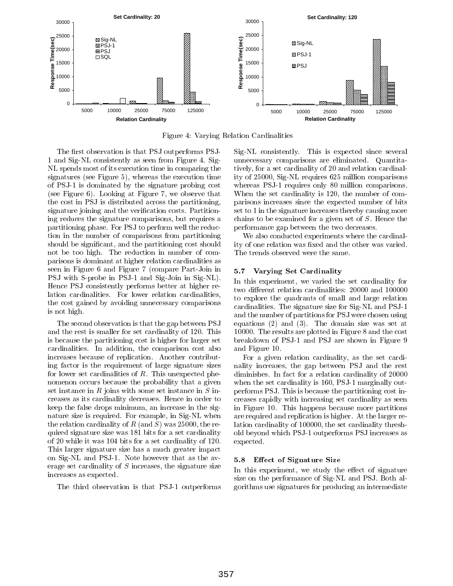

Figure 4: Varying Relation Cardinalities

The first observation is that PSJ outperforms PSJ-1 and Sig-NL consistently as seen from Figure 4. Sig-NL spends most of its execution time in comparing the signatures (see Figure 5), whereas the execution time of PSJ-1 is dominated by the signature probing cost (see Figure 6). Looking at Figure 7, we observe that the cost in PSJ is distributed across the partitioning, signature joining and the verification costs. Partitioning reduces the signature comparisons, but requires a partitioning phase. For PSJ to perform well the reduction in the number of comparisons from partitioning should be signicant, and the partitioning cost should not be too high. The reduction in number of comparisons is dominant at higher relation cardinalities as seen in Figure 6 and Figure 7 (compare Part-Join in PSJ with S-probe in PSJ-1 and Sig-Join in Sig-NL). Hence PSJ consistently performs better at higher relation cardinalities. For lower relation cardinalities, the cost gained by avoiding unnecessary comparisons is not high.

The second observation is that the gap between PSJ and the rest is smaller for set cardinality of 120. This is because the partitioning cost is higher for larger set cardinalities. In addition, the comparison cost also increases because of replication. Another contributing factor is the requirement of large signature sizes for lower set cardinalities of  $R$ . This unexpected phenomenon occurs because the probability that a given set instance in  $R$  joins with some set instance in  $S$  increases as its cardinality decreases. Hence in order to keep the false drops minimum, an increase in the signature size is required. For example, in Sig-NL when the relation cardinality of R (and S) was 25000, the required signature size was 181 bits for a set cardinality of 20 while it was 104 bits for a set cardinality of 120. This larger signature size has a much greater impact on Sig-NL and PSJ-1. Note however that as the av-<br>5.8 erage set cardinality of S increases, the signature size increases as expected.

The third observation is that PSJ-1 outperforms

Sig-NL consistently. This is expected since several unnecessary comparisons are eliminated. Quantitatively, for a set cardinality of 20 and relation cardinality of 25000, Sig-NL requires 625 million comparisons whereas PSJ-1 requires only 80 million comparisons. When the set cardinality is 120, the number of comparisons increases since the expected number of bits set to 1 in the signature increases thereby causing more chains to be examined for a given set of S. Hence the performance gap between the two decreases.

We also conducted experiments where the cardinality of one relation was fixed and the other was varied. The trends observed were the same.

### Varying Set Cardinality

In this experiment, we varied the set cardinality for two different relation cardinalities: 20000 and 100000 to explore the quadrants of small and large relation cardinalities. The signature size for Sig-NL and PSJ-1 and the number of partitions for PSJ were chosen using equations  $(2)$  and  $(3)$ . The domain size was set at 10000. The results are plotted in Figure 8 and the cost breakdown of PSJ-1 and PSJ are shown in Figure 9 and Figure 10.

For a given relation cardinality, as the set cardinality increases, the gap between PSJ and the rest diminishes. In fact for a relation cardinality of 20000 when the set cardinality is 160, PSJ-1 marginally outperforms PSJ. This is because the partitioning cost increases rapidly with increasing set cardinality as seen in Figure 10. This happens because more partitions are required and replication is higher. At the larger relation cardinality of 100000, the set cardinality threshold beyond which PSJ-1 outperforms PSJ increases as expected.

### **Effect of Signature Size**

In this experiment, we study the effect of signature size on the performance of Sig-NL and PSJ. Both algorithms use signatures for producing an intermediate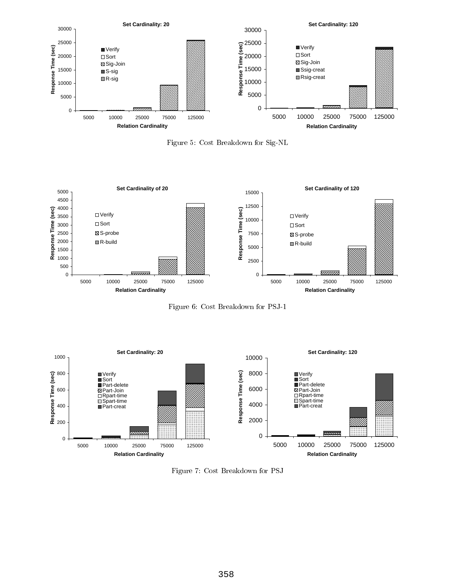

Figure 5: Cost Breakdown for Sig-NL



Figure 6: Cost Breakdown for PSJ-1



Figure 7: Cost Breakdown for PSJ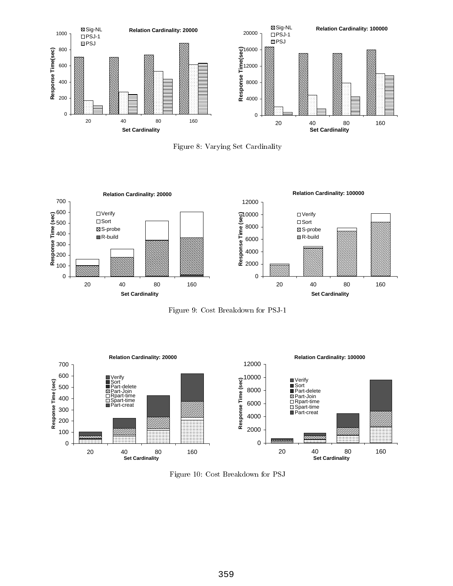





Figure 9: Cost Breakdown for PSJ-1



Figure 10: Cost Breakdown for PSJ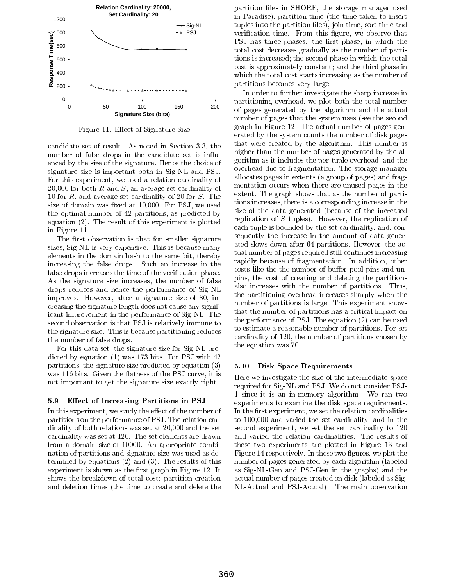

Figure 11: Effect of Signature Size

candidate set of result. As noted in Section 3.3, the number of false drops in the candidate set is influenced by the size of the signature. Hence the choice of signature size is important both in Sig-NL and PSJ. For this experiment, we used a relation cardinality of 20,000 for both R and S, an average set cardinality of 10 for R, and average set cardinality of 20 for S. The size of domain was fixed at 10,000. For PSJ, we used the optimal number of 42 partitions, as predicted by equation (2). The result of this experiment is plotted in Figure 11.

The first observation is that for smaller signature sizes, Sig-NL is very expensive. This is because many elements in the domain hash to the same bit, thereby increasing the false drops. Such an increase in the false drops increases the time of the verification phase. As the signature size increases, the number of false drops reduces and hence the performance of Sig-NL improves. However, after a signature size of 80, increasing the signature length does not cause any significant improvement in the performance of Sig-NL. The second observation is that PSJ is relatively immune to the signature size. This is because partitioning reduces the number of false drops.

For this data set, the signature size for Sig-NL predicted by equation (1) was 173 bits. For PSJ with 42 partitions, the signature size predicted by equation  $(3) = 5.10$ was 116 bits. Given the flatness of the PSJ curve, it is not important to get the signature size exactly right.

### 5.9 Effect of Increasing Partitions in PSJ

In this experiment, we study the effect of the number of partitions on the performance of PSJ. The relation cardinality of both relations was set at 20,000 and the set cardinality was set at 120. The set elements are drawn from a domain size of 10000. An appropriate combination of partitions and signature size was used as determined by equations (2) and (3). The results of this experiment is shown as the first graph in Figure 12. It shows the breakdown of total cost: partition creation and deletion times (the time to create and delete the

partition files in SHORE, the storage manager used in Paradise), partition time (the time taken to insert tuples into the partition files), join time, sort time and verification time. From this figure, we observe that PSJ has three phases: the first phase, in which the total cost decreases gradually as the number of partitions is increased; the second phase in which the total cost is approximately constant; and the third phase in which the total cost starts increasing as the number of partitions becomes very large.

In order to further investigate the sharp increase in partitioning overhead, we plot both the total number of pages generated by the algorithm and the actual number of pages that the system uses (see the second graph in Figure 12. The actual number of pages generated by the system counts the number of disk pages that were created by the algorithm. This number is higher than the number of pages generated by the algorithm as it includes the per-tuple overhead, and the overhead due to fragmentation. The storage manager allocates pages in extents (a group of pages) and fragmentation occurs when there are unused pages in the extent. The graph shows that as the number of partitions increases, there is a corresponding increase in the size of the data generated (because of the increased replication of  $S$  tuples). However, the replication of each tuple is bounded by the set cardinality, and, consequently the increase in the amount of data generated slows down after 64 partitions. However, the actual number of pages required still continues increasing rapidly because of fragmentation. In addition, other costs like the the number of buffer pool pins and unpins, the cost of creating and deleting the partitions also increases with the number of partitions. Thus, the partitioning overhead increases sharply when the number of partitions is large. This experiment shows that the number of partitions has a critical impact on the performance of PSJ. The equation (2) can be used to estimate a reasonable number of partitions. For set cardinality of 120, the number of partitions chosen by the equation was 70.

### Disk Space Requirements

Here we investigate the size of the intermediate space required for Sig-NL and PSJ. We do not consider PSJ-1 since it is an in-memory algorithm. We ran two experiments to examine the disk space requirements. In the first experiment, we set the relation cardinalities to 100,000 and varied the set cardinality, and in the second experiment, we set the set cardinality to 120 and varied the relation cardinalities. The results of these two experiments are plotted in Figure 13 and Figure 14 respectively. In these two figures, we plot the number of pages generated by each algorithm (labeled as Sig-NL-Gen and PSJ-Gen in the graphs) and the actual number of pages created on disk (labeled as Sig-NL-Actual and PSJ-Actual). The main observation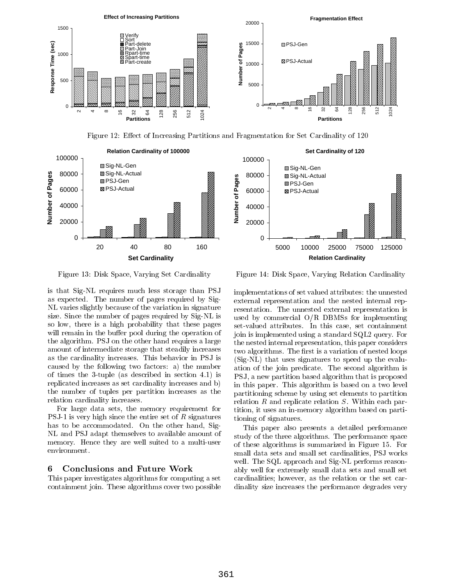

Figure 12: Effect of Increasing Partitions and Fragmentation for Set Cardinality of 120





Figure 13: Disk Space, Varying Set Cardinality

is that Sig-NL requires much less storage than PSJ as expected. The number of pages required by Sig-NL varies slightly because of the variation in signature size. Since the number of pages required by Sig-NL is so low, there is a high probability that these pages will remain in the buffer pool during the operation of the algorithm. PSJ on the other hand requires a large amount of intermediate storage that steadily increases as the cardinality increases. This behavior in PSJ is caused by the following two factors: a) the number of times the 3-tuple (as described in section 4.1) is replicated increases as set cardinality increases and b) the number of tuples per partition increases as the relation cardinality increases.

For large data sets, the memory requirement for PSJ-1 is very high since the entire set of  $R$  signatures has to be accommodated. On the other hand, Sig-NL and PSJ adapt themselves to available amount of memory. Hence they are well suited to a multi-user environment.

#### 6 6 Conclusions and Future Work

This paper investigates algorithms for computing a set containment join. These algorithms cover two possible

Figure 14: Disk Space, Varying Relation Cardinality

implementations of set valued attributes: the unnested external representation and the nested internal representation. The unnested external representation is used by commercial O/R DBMSs for implementing set-valued attributes. In this case, set containment join is implemented using a standard SQL2 query. For the nested internal representation, this paper considers two algorithms. The first is a variation of nested loops (Sig-NL) that uses signatures to speed up the evaluation of the join predicate. The second algorithm is PSJ, a new partition based algorithm that is proposed in this paper. This algorithm is based on a two level partitioning scheme by using set elements to partition relation R and replicate relation S. Within each partition, it uses an in-memory algorithm based on partitioning of signatures.

This paper also presents a detailed performance study of the three algorithms. The performance space of these algorithms is summarized in Figure 15. For small data sets and small set cardinalities, PSJ works well. The SQL approach and Sig-NL performs reasonably well for extremely small data sets and small set cardinalities; however, as the relation or the set cardinality size increases the performance degrades very